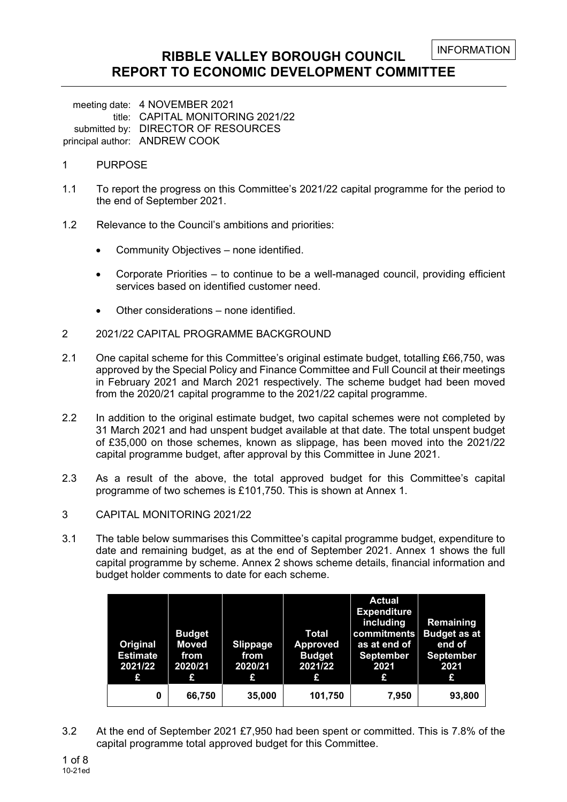### **RIBBLE VALLEY BOROUGH COUNCIL REPORT TO ECONOMIC DEVELOPMENT COMMITTEE**

meeting date: 4 NOVEMBER 2021 title: CAPITAL MONITORING 2021/22 submitted by: DIRECTOR OF RESOURCES principal author: ANDREW COOK

- 1 PURPOSE
- 1.1 To report the progress on this Committee's 2021/22 capital programme for the period to the end of September 2021.
- 1.2 Relevance to the Council's ambitions and priorities:
	- Community Objectives none identified.
	- Corporate Priorities to continue to be a well-managed council, providing efficient services based on identified customer need.
	- Other considerations none identified.
- 2 2021/22 CAPITAL PROGRAMME BACKGROUND
- 2.1 One capital scheme for this Committee's original estimate budget, totalling £66,750, was approved by the Special Policy and Finance Committee and Full Council at their meetings in February 2021 and March 2021 respectively. The scheme budget had been moved from the 2020/21 capital programme to the 2021/22 capital programme.
- 2.2 In addition to the original estimate budget, two capital schemes were not completed by 31 March 2021 and had unspent budget available at that date. The total unspent budget of £35,000 on those schemes, known as slippage, has been moved into the 2021/22 capital programme budget, after approval by this Committee in June 2021.
- 2.3 As a result of the above, the total approved budget for this Committee's capital programme of two schemes is £101,750. This is shown at Annex 1.
- 3 CAPITAL MONITORING 2021/22
- 3.1 The table below summarises this Committee's capital programme budget, expenditure to date and remaining budget, as at the end of September 2021. Annex 1 shows the full capital programme by scheme. Annex 2 shows scheme details, financial information and budget holder comments to date for each scheme.

| Original<br><b>Estimate</b><br>2021/22<br>£ | <b>Budget</b><br><b>Moved</b><br>from<br>2020/21<br>£ | <b>Slippage</b><br>from<br>2020/21<br>£ | <b>Total</b><br><b>Approved</b><br><b>Budget</b><br>2021/22<br>£ | <b>Actual</b><br><b>Expenditure</b><br>including<br>commitments<br>as at end of<br><b>September</b><br>2021<br>£ | Remaining<br><b>Budget as at</b><br>end of<br><b>September</b><br>2021<br>£ |
|---------------------------------------------|-------------------------------------------------------|-----------------------------------------|------------------------------------------------------------------|------------------------------------------------------------------------------------------------------------------|-----------------------------------------------------------------------------|
| 0                                           | 66,750                                                | 35,000                                  | 101,750                                                          | 7,950                                                                                                            | 93,800                                                                      |

3.2 At the end of September 2021 £7,950 had been spent or committed. This is 7.8% of the capital programme total approved budget for this Committee.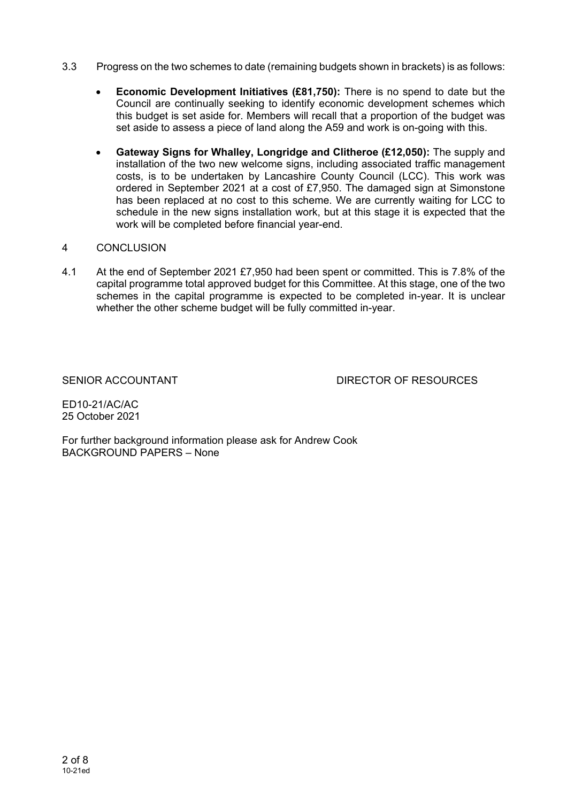- 3.3 Progress on the two schemes to date (remaining budgets shown in brackets) is as follows:
	- **Economic Development Initiatives (£81,750):** There is no spend to date but the Council are continually seeking to identify economic development schemes which this budget is set aside for. Members will recall that a proportion of the budget was set aside to assess a piece of land along the A59 and work is on-going with this.
	- **Gateway Signs for Whalley, Longridge and Clitheroe (£12,050):** The supply and installation of the two new welcome signs, including associated traffic management costs, is to be undertaken by Lancashire County Council (LCC). This work was ordered in September 2021 at a cost of £7,950. The damaged sign at Simonstone has been replaced at no cost to this scheme. We are currently waiting for LCC to schedule in the new signs installation work, but at this stage it is expected that the work will be completed before financial year-end.

### 4 CONCLUSION

4.1 At the end of September 2021 £7,950 had been spent or committed. This is 7.8% of the capital programme total approved budget for this Committee. At this stage, one of the two schemes in the capital programme is expected to be completed in-year. It is unclear whether the other scheme budget will be fully committed in-year.

SENIOR ACCOUNTANT DIRECTOR OF RESOURCES

ED10-21/AC/AC 25 October 2021

For further background information please ask for Andrew Cook BACKGROUND PAPERS – None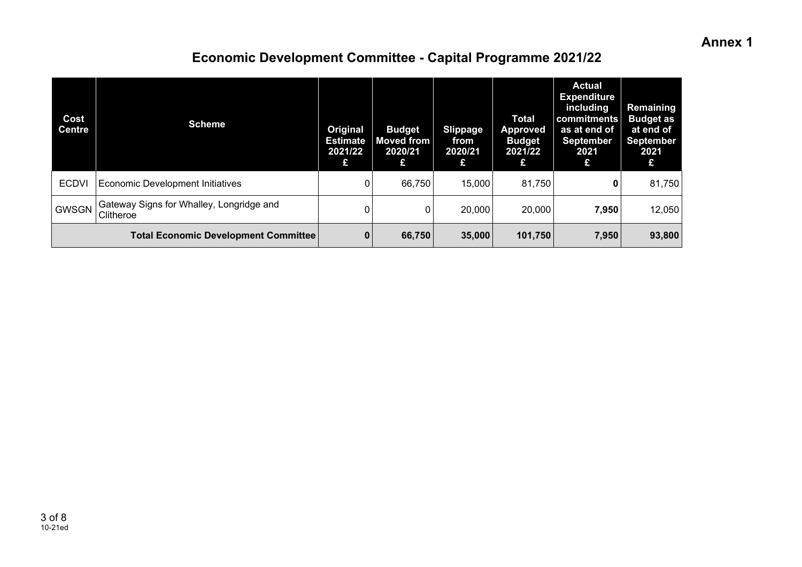### **Annex 1**

# **Economic Development Committee - Capital Programme 2021/22**

| Cost<br><b>Centre</b> | <b>Scheme</b>                                         | Original<br><b>Estimate</b><br>2021/22<br>£ | <b>Budget</b><br><b>Moved from</b><br>2020/21<br>£ | <b>Slippage</b><br>from<br>2020/21<br>£ | <b>Total</b><br><b>Approved</b><br><b>Budget</b><br>2021/22<br>£ | <b>Actual</b><br><b>Expenditure</b><br>including<br>commitments<br>as at end of<br><b>September</b><br>2021<br>£ | Remaining<br><b>Budget</b> as<br>at end of<br><b>September</b><br>2021<br>£ |
|-----------------------|-------------------------------------------------------|---------------------------------------------|----------------------------------------------------|-----------------------------------------|------------------------------------------------------------------|------------------------------------------------------------------------------------------------------------------|-----------------------------------------------------------------------------|
| <b>ECDVI</b>          | <b>Economic Development Initiatives</b>               | 0                                           | 66,750                                             | 15,000                                  | 81,750                                                           | 0                                                                                                                | 81,750                                                                      |
| <b>GWSGN</b>          | Gateway Signs for Whalley, Longridge and<br>Clitheroe | 0                                           |                                                    | 20,000                                  | 20,000                                                           | 7,950                                                                                                            | 12,050                                                                      |
|                       | <b>Total Economic Development Committee</b>           | $\mathbf{0}$                                | 66,750                                             | 35,000                                  | 101,750                                                          | 7,950                                                                                                            | 93,800                                                                      |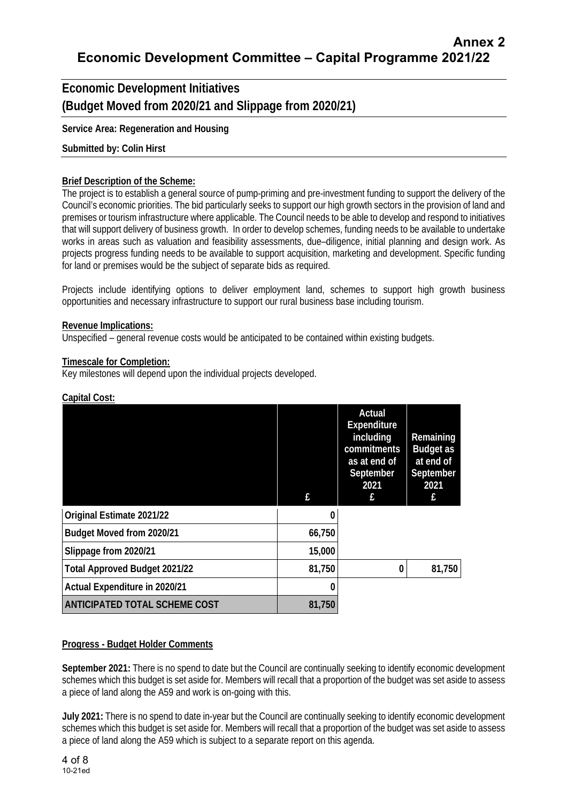**Economic Development Initiatives (Budget Moved from 2020/21 and Slippage from 2020/21)** 

**Service Area: Regeneration and Housing** 

### **Submitted by: Colin Hirst**

### **Brief Description of the Scheme:**

The project is to establish a general source of pump-priming and pre-investment funding to support the delivery of the Council's economic priorities. The bid particularly seeks to support our high growth sectors in the provision of land and premises or tourism infrastructure where applicable. The Council needs to be able to develop and respond to initiatives that will support delivery of business growth. In order to develop schemes, funding needs to be available to undertake works in areas such as valuation and feasibility assessments, due–diligence, initial planning and design work. As projects progress funding needs to be available to support acquisition, marketing and development. Specific funding for land or premises would be the subject of separate bids as required.

Projects include identifying options to deliver employment land, schemes to support high growth business opportunities and necessary infrastructure to support our rural business base including tourism.

### **Revenue Implications:**

Unspecified – general revenue costs would be anticipated to be contained within existing budgets.

#### **Timescale for Completion:**

Key milestones will depend upon the individual projects developed.

|                                      | f.     | Actual<br><b>Expenditure</b><br>including<br>commitments<br>as at end of<br>September<br>2021<br>f | Remaining<br><b>Budget as</b><br>at end of<br>September<br>2021<br>£ |
|--------------------------------------|--------|----------------------------------------------------------------------------------------------------|----------------------------------------------------------------------|
| Original Estimate 2021/22            | 0      |                                                                                                    |                                                                      |
| Budget Moved from 2020/21            | 66,750 |                                                                                                    |                                                                      |
| Slippage from 2020/21                | 15,000 |                                                                                                    |                                                                      |
| <b>Total Approved Budget 2021/22</b> | 81,750 | 0                                                                                                  | 81,750                                                               |
| Actual Expenditure in 2020/21        | 0      |                                                                                                    |                                                                      |
| <b>ANTICIPATED TOTAL SCHEME COST</b> | 81,750 |                                                                                                    |                                                                      |

### **Capital Cost:**

### **Progress - Budget Holder Comments**

**September 2021:** There is no spend to date but the Council are continually seeking to identify economic development schemes which this budget is set aside for. Members will recall that a proportion of the budget was set aside to assess a piece of land along the A59 and work is on-going with this.

**July 2021:** There is no spend to date in-year but the Council are continually seeking to identify economic development schemes which this budget is set aside for. Members will recall that a proportion of the budget was set aside to assess a piece of land along the A59 which is subject to a separate report on this agenda.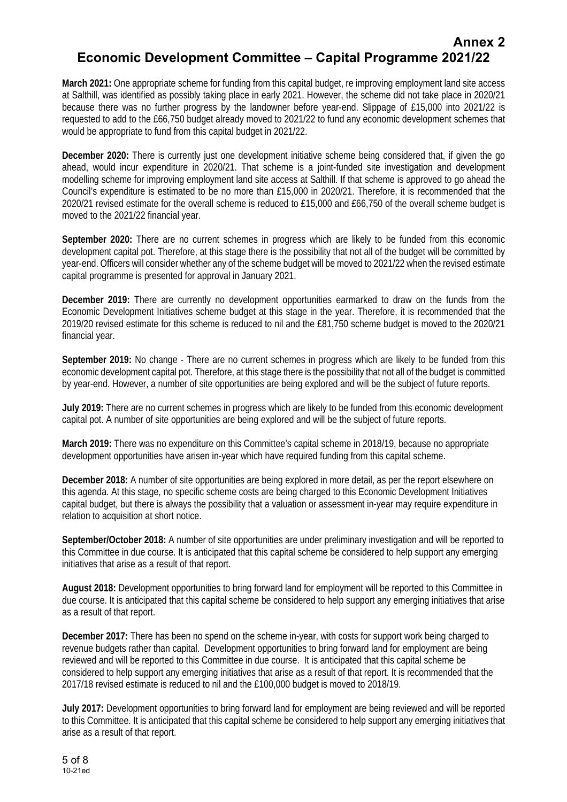# **Annex 2 Economic Development Committee – Capital Programme 2021/22**

**March 2021:** One appropriate scheme for funding from this capital budget, re improving employment land site access at Salthill, was identified as possibly taking place in early 2021. However, the scheme did not take place in 2020/21 because there was no further progress by the landowner before year-end. Slippage of £15,000 into 2021/22 is requested to add to the £66,750 budget already moved to 2021/22 to fund any economic development schemes that would be appropriate to fund from this capital budget in 2021/22.

**December 2020:** There is currently just one development initiative scheme being considered that, if given the go ahead, would incur expenditure in 2020/21. That scheme is a joint-funded site investigation and development modelling scheme for improving employment land site access at Salthill. If that scheme is approved to go ahead the Council's expenditure is estimated to be no more than £15,000 in 2020/21. Therefore, it is recommended that the 2020/21 revised estimate for the overall scheme is reduced to £15,000 and £66,750 of the overall scheme budget is moved to the 2021/22 financial year.

**September 2020:** There are no current schemes in progress which are likely to be funded from this economic development capital pot. Therefore, at this stage there is the possibility that not all of the budget will be committed by year-end. Officers will consider whether any of the scheme budget will be moved to 2021/22 when the revised estimate capital programme is presented for approval in January 2021.

**December 2019:** There are currently no development opportunities earmarked to draw on the funds from the Economic Development Initiatives scheme budget at this stage in the year. Therefore, it is recommended that the 2019/20 revised estimate for this scheme is reduced to nil and the £81,750 scheme budget is moved to the 2020/21 financial year.

**September 2019:** No change - There are no current schemes in progress which are likely to be funded from this economic development capital pot. Therefore, at this stage there is the possibility that not all of the budget is committed by year-end. However, a number of site opportunities are being explored and will be the subject of future reports.

**July 2019:** There are no current schemes in progress which are likely to be funded from this economic development capital pot. A number of site opportunities are being explored and will be the subject of future reports.

**March 2019:** There was no expenditure on this Committee's capital scheme in 2018/19, because no appropriate development opportunities have arisen in-year which have required funding from this capital scheme.

**December 2018:** A number of site opportunities are being explored in more detail, as per the report elsewhere on this agenda. At this stage, no specific scheme costs are being charged to this Economic Development Initiatives capital budget, but there is always the possibility that a valuation or assessment in-year may require expenditure in relation to acquisition at short notice.

**September/October 2018:** A number of site opportunities are under preliminary investigation and will be reported to this Committee in due course. It is anticipated that this capital scheme be considered to help support any emerging initiatives that arise as a result of that report.

**August 2018:** Development opportunities to bring forward land for employment will be reported to this Committee in due course. It is anticipated that this capital scheme be considered to help support any emerging initiatives that arise as a result of that report.

**December 2017:** There has been no spend on the scheme in-year, with costs for support work being charged to revenue budgets rather than capital. Development opportunities to bring forward land for employment are being reviewed and will be reported to this Committee in due course. It is anticipated that this capital scheme be considered to help support any emerging initiatives that arise as a result of that report. It is recommended that the 2017/18 revised estimate is reduced to nil and the £100,000 budget is moved to 2018/19.

**July 2017:** Development opportunities to bring forward land for employment are being reviewed and will be reported to this Committee. It is anticipated that this capital scheme be considered to help support any emerging initiatives that arise as a result of that report.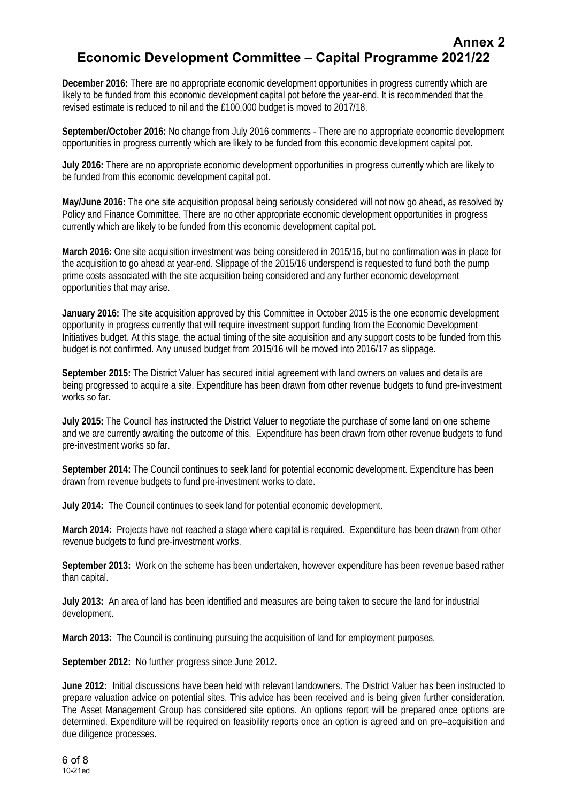### **Annex 2 Economic Development Committee – Capital Programme 2021/22**

**December 2016:** There are no appropriate economic development opportunities in progress currently which are likely to be funded from this economic development capital pot before the year-end. It is recommended that the revised estimate is reduced to nil and the £100,000 budget is moved to 2017/18.

**September/October 2016:** No change from July 2016 comments - There are no appropriate economic development opportunities in progress currently which are likely to be funded from this economic development capital pot.

**July 2016:** There are no appropriate economic development opportunities in progress currently which are likely to be funded from this economic development capital pot.

**May/June 2016:** The one site acquisition proposal being seriously considered will not now go ahead, as resolved by Policy and Finance Committee. There are no other appropriate economic development opportunities in progress currently which are likely to be funded from this economic development capital pot.

**March 2016:** One site acquisition investment was being considered in 2015/16, but no confirmation was in place for the acquisition to go ahead at year-end. Slippage of the 2015/16 underspend is requested to fund both the pump prime costs associated with the site acquisition being considered and any further economic development opportunities that may arise.

**January 2016:** The site acquisition approved by this Committee in October 2015 is the one economic development opportunity in progress currently that will require investment support funding from the Economic Development Initiatives budget. At this stage, the actual timing of the site acquisition and any support costs to be funded from this budget is not confirmed. Any unused budget from 2015/16 will be moved into 2016/17 as slippage.

**September 2015:** The District Valuer has secured initial agreement with land owners on values and details are being progressed to acquire a site. Expenditure has been drawn from other revenue budgets to fund pre-investment works so far.

**July 2015:** The Council has instructed the District Valuer to negotiate the purchase of some land on one scheme and we are currently awaiting the outcome of this. Expenditure has been drawn from other revenue budgets to fund pre-investment works so far.

**September 2014:** The Council continues to seek land for potential economic development. Expenditure has been drawn from revenue budgets to fund pre-investment works to date.

**July 2014:** The Council continues to seek land for potential economic development.

**March 2014:** Projects have not reached a stage where capital is required. Expenditure has been drawn from other revenue budgets to fund pre-investment works.

**September 2013:** Work on the scheme has been undertaken, however expenditure has been revenue based rather than capital.

**July 2013:** An area of land has been identified and measures are being taken to secure the land for industrial development.

**March 2013:** The Council is continuing pursuing the acquisition of land for employment purposes.

**September 2012:** No further progress since June 2012.

**June 2012:** Initial discussions have been held with relevant landowners. The District Valuer has been instructed to prepare valuation advice on potential sites. This advice has been received and is being given further consideration. The Asset Management Group has considered site options. An options report will be prepared once options are determined. Expenditure will be required on feasibility reports once an option is agreed and on pre–acquisition and due diligence processes.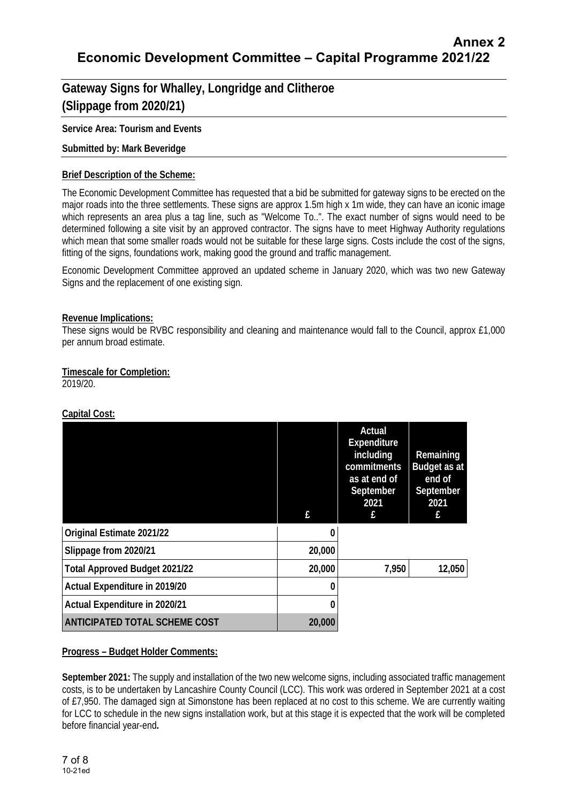# **Gateway Signs for Whalley, Longridge and Clitheroe (Slippage from 2020/21)**

### **Service Area: Tourism and Events**

### **Submitted by: Mark Beveridge**

### **Brief Description of the Scheme:**

The Economic Development Committee has requested that a bid be submitted for gateway signs to be erected on the major roads into the three settlements. These signs are approx 1.5m high x 1m wide, they can have an iconic image which represents an area plus a tag line, such as "Welcome To..". The exact number of signs would need to be determined following a site visit by an approved contractor. The signs have to meet Highway Authority regulations which mean that some smaller roads would not be suitable for these large signs. Costs include the cost of the signs, fitting of the signs, foundations work, making good the ground and traffic management.

Economic Development Committee approved an updated scheme in January 2020, which was two new Gateway Signs and the replacement of one existing sign.

### **Revenue Implications:**

These signs would be RVBC responsibility and cleaning and maintenance would fall to the Council, approx £1,000 per annum broad estimate.

### **Timescale for Completion:**

2019/20.

### **Capital Cost:**

|                                      | £      | Actual<br>Expenditure<br>including<br>commitments<br>as at end of<br>September<br>2021<br>£ | Remaining<br><b>Budget as at</b><br>end of<br>September<br>2021<br>£ |
|--------------------------------------|--------|---------------------------------------------------------------------------------------------|----------------------------------------------------------------------|
| Original Estimate 2021/22            | 0      |                                                                                             |                                                                      |
| Slippage from 2020/21                | 20,000 |                                                                                             |                                                                      |
| <b>Total Approved Budget 2021/22</b> | 20,000 | 7,950                                                                                       | 12,050                                                               |
| Actual Expenditure in 2019/20        |        |                                                                                             |                                                                      |
| Actual Expenditure in 2020/21        |        |                                                                                             |                                                                      |
| <b>ANTICIPATED TOTAL SCHEME COST</b> | 20,000 |                                                                                             |                                                                      |

### **Progress – Budget Holder Comments:**

**September 2021:** The supply and installation of the two new welcome signs, including associated traffic management costs, is to be undertaken by Lancashire County Council (LCC). This work was ordered in September 2021 at a cost of £7,950. The damaged sign at Simonstone has been replaced at no cost to this scheme. We are currently waiting for LCC to schedule in the new signs installation work, but at this stage it is expected that the work will be completed before financial year-end**.**